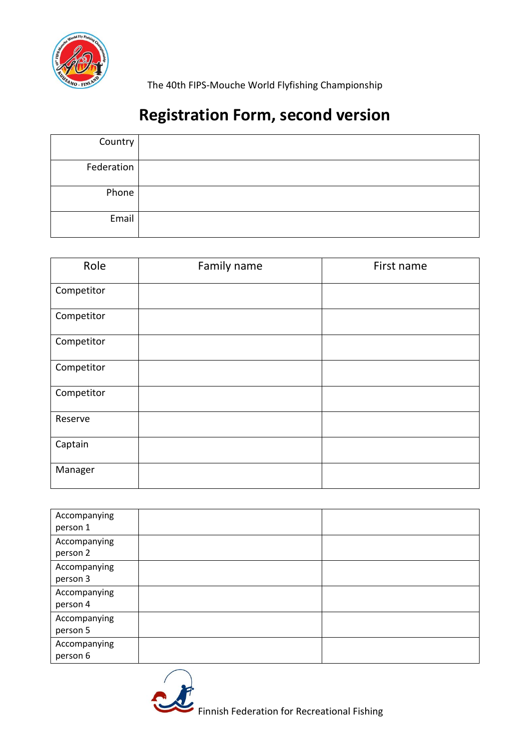

The 40th FIPS-Mouche World Flyfishing Championship

# **Registration Form, second version**

| Country    |  |
|------------|--|
| Federation |  |
| Phone      |  |
| Email      |  |

| Role       | Family name | First name |
|------------|-------------|------------|
| Competitor |             |            |
| Competitor |             |            |
| Competitor |             |            |
| Competitor |             |            |
| Competitor |             |            |
| Reserve    |             |            |
| Captain    |             |            |
| Manager    |             |            |

| Accompanying<br>person 1 |  |
|--------------------------|--|
| Accompanying<br>person 2 |  |
| Accompanying<br>person 3 |  |
| Accompanying<br>person 4 |  |
| Accompanying<br>person 5 |  |
| Accompanying<br>person 6 |  |